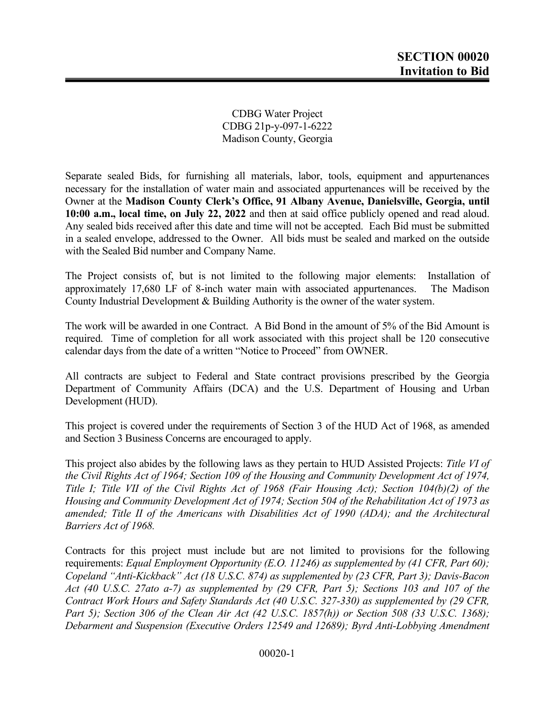CDBG Water Project CDBG 21p-y-097-1-6222 Madison County, Georgia

Separate sealed Bids, for furnishing all materials, labor, tools, equipment and appurtenances necessary for the installation of water main and associated appurtenances will be received by the Owner at the Madison County Clerk's Office, 91 Albany Avenue, Danielsville, Georgia, until 10:00 a.m., local time, on July 22, 2022 and then at said office publicly opened and read aloud. Any sealed bids received after this date and time will not be accepted. Each Bid must be submitted in a sealed envelope, addressed to the Owner. All bids must be sealed and marked on the outside with the Sealed Bid number and Company Name.

The Project consists of, but is not limited to the following major elements: Installation of approximately 17,680 LF of 8-inch water main with associated appurtenances. The Madison County Industrial Development & Building Authority is the owner of the water system.

The work will be awarded in one Contract. A Bid Bond in the amount of 5% of the Bid Amount is required. Time of completion for all work associated with this project shall be 120 consecutive calendar days from the date of a written "Notice to Proceed" from OWNER.

All contracts are subject to Federal and State contract provisions prescribed by the Georgia Department of Community Affairs (DCA) and the U.S. Department of Housing and Urban Development (HUD).

This project is covered under the requirements of Section 3 of the HUD Act of 1968, as amended and Section 3 Business Concerns are encouraged to apply.

This project also abides by the following laws as they pertain to HUD Assisted Projects: Title VI of the Civil Rights Act of 1964; Section 109 of the Housing and Community Development Act of 1974, Title I; Title VII of the Civil Rights Act of 1968 (Fair Housing Act); Section 104(b)(2) of the Housing and Community Development Act of 1974; Section 504 of the Rehabilitation Act of 1973 as amended; Title II of the Americans with Disabilities Act of 1990 (ADA); and the Architectural Barriers Act of 1968.

Contracts for this project must include but are not limited to provisions for the following requirements: Equal Employment Opportunity (E.O. 11246) as supplemented by (41 CFR, Part 60); Copeland "Anti-Kickback" Act (18 U.S.C. 874) as supplemented by (23 CFR, Part 3); Davis-Bacon Act (40 U.S.C. 27ato a-7) as supplemented by (29 CFR, Part 5); Sections 103 and 107 of the Contract Work Hours and Safety Standards Act (40 U.S.C. 327-330) as supplemented by (29 CFR, Part 5); Section 306 of the Clean Air Act (42 U.S.C. 1857(h)) or Section 508 (33 U.S.C. 1368); Debarment and Suspension (Executive Orders 12549 and 12689); Byrd Anti-Lobbying Amendment